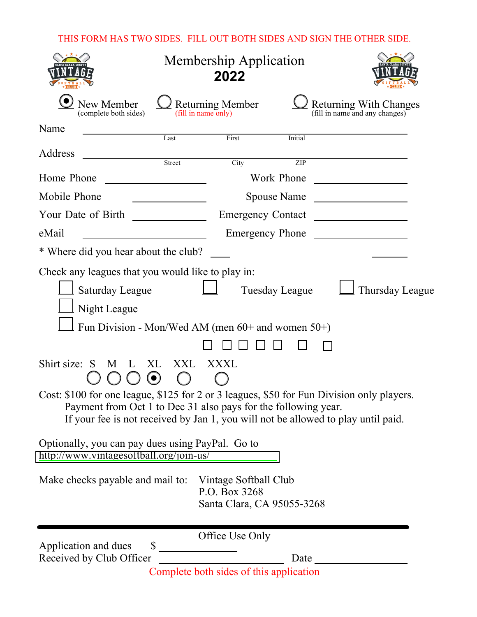## THIS FORM HAS TWO SIDES. FILL OUT BOTH SIDES AND SIGN THE OTHER SIDE.

|                                                                                                                                                                                                                                                                        | <b>Membership Application</b><br>2022 |                                                                      |                |                                                                                                                      |
|------------------------------------------------------------------------------------------------------------------------------------------------------------------------------------------------------------------------------------------------------------------------|---------------------------------------|----------------------------------------------------------------------|----------------|----------------------------------------------------------------------------------------------------------------------|
| New Member<br>(complete both sides)                                                                                                                                                                                                                                    |                                       | <b>Returning Member</b><br>(fill in name only)                       |                | <b>Returning With Changes</b><br>(fill in name and any changes)                                                      |
| Name                                                                                                                                                                                                                                                                   | Last                                  | First                                                                | Initial        |                                                                                                                      |
| Address                                                                                                                                                                                                                                                                | Street                                | City                                                                 | ZIP            |                                                                                                                      |
| Home Phone                                                                                                                                                                                                                                                             |                                       |                                                                      | Work Phone     | <u> 1980 - Jan Jawa Barat, prima prima prima prima prima prima prima prima prima prima prima prima prima prima p</u> |
| Mobile Phone                                                                                                                                                                                                                                                           |                                       |                                                                      |                | Spouse Name                                                                                                          |
| Your Date of Birth                                                                                                                                                                                                                                                     |                                       |                                                                      |                | Emergency Contact                                                                                                    |
| eMail                                                                                                                                                                                                                                                                  |                                       |                                                                      |                | Emergency Phone                                                                                                      |
| * Where did you hear about the club?                                                                                                                                                                                                                                   |                                       |                                                                      |                |                                                                                                                      |
| Check any leagues that you would like to play in:<br><b>Saturday League</b><br>Night League<br>Fun Division - Mon/Wed AM (men $60+$ and women $50+$ )                                                                                                                  |                                       |                                                                      | Tuesday League | Thursday League                                                                                                      |
| Shirt size: S<br>M<br>Cost: \$100 for one league, \$125 for 2 or 3 leagues, \$50 for Fun Division only players.<br>Payment from Oct 1 to Dec 31 also pays for the following year.<br>If your fee is not received by Jan 1, you will not be allowed to play until paid. | XXL<br>XL                             | XXXL                                                                 |                |                                                                                                                      |
| Optionally, you can pay dues using PayPal. Go to<br>http://www.vintagesoftball.org/join-us/                                                                                                                                                                            |                                       |                                                                      |                |                                                                                                                      |
| Make checks payable and mail to:                                                                                                                                                                                                                                       |                                       | Vintage Softball Club<br>P.O. Box 3268<br>Santa Clara, CA 95055-3268 |                |                                                                                                                      |
| Application and dues<br>Received by Club Officer                                                                                                                                                                                                                       | $\sim$                                | Office Use Only<br>Complete both sides of this application           | Date           |                                                                                                                      |